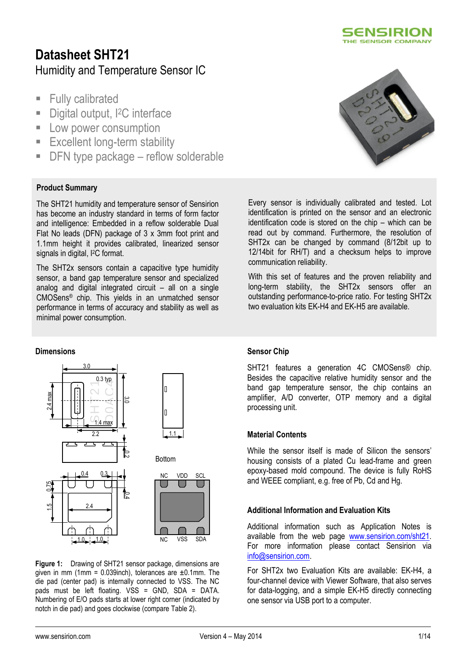

# **Datasheet SHT21**  Humidity and Temperature Sensor IC

- **Fully calibrated**
- Digital output, <sup>2</sup>C interface
- **Low power consumption**
- **Excellent long-term stability**
- DFN type package reflow solderable

### **Product Summary**

The SHT21 humidity and temperature sensor of Sensirion has become an industry standard in terms of form factor and intelligence: Embedded in a reflow solderable Dual Flat No leads (DFN) package of 3 x 3mm foot print and 1.1mm height it provides calibrated, linearized sensor signals in digital, I<sup>2</sup>C format.

The SHT2x sensors contain a capacitive type humidity sensor, a band gap temperature sensor and specialized analog and digital integrated circuit – all on a single CMOSens® chip. This yields in an unmatched sensor performance in terms of accuracy and stability as well as minimal power consumption.

#### **Dimensions**



**Figure 1:** Drawing of SHT21 sensor package, dimensions are given in mm (1mm =  $0.039$ inch), tolerances are  $\pm 0.1$ mm. The die pad (center pad) is internally connected to VSS. The NC pads must be left floating. VSS = GND, SDA = DATA. Numbering of E/O pads starts at lower right corner (indicated by notch in die pad) and goes clockwise (compare [Table 2\)](#page-5-0).



Every sensor is individually calibrated and tested. Lot identification is printed on the sensor and an electronic identification code is stored on the chip – which can be read out by command. Furthermore, the resolution of SHT2x can be changed by command (8/12bit up to 12/14bit for RH/T) and a checksum helps to improve communication reliability.

With this set of features and the proven reliability and long-term stability, the SHT2x sensors offer an outstanding performance-to-price ratio. For testing SHT2x two evaluation kits EK-H4 and EK-H5 are available.

### **Sensor Chip**

SHT21 features a generation 4C CMOSens® chip. Besides the capacitive relative humidity sensor and the band gap temperature sensor, the chip contains an amplifier, A/D converter, OTP memory and a digital processing unit.

#### **Material Contents**

While the sensor itself is made of Silicon the sensors' housing consists of a plated Cu lead-frame and green epoxy-based mold compound. The device is fully RoHS and WEEE compliant, e.g. free of Pb, Cd and Hg.

#### **Additional Information and Evaluation Kits**

Additional information such as Application Notes is available from the web page [www.sensirion.com/sht21.](http://www.sensirion.com/sht21) For more information please contact Sensirion via [info@sensirion.com.](mailto:info@sensirion.com)

For SHT2x two Evaluation Kits are available: EK-H4, a four-channel device with Viewer Software, that also serves for data-logging, and a simple EK-H5 directly connecting one sensor via USB port to a computer.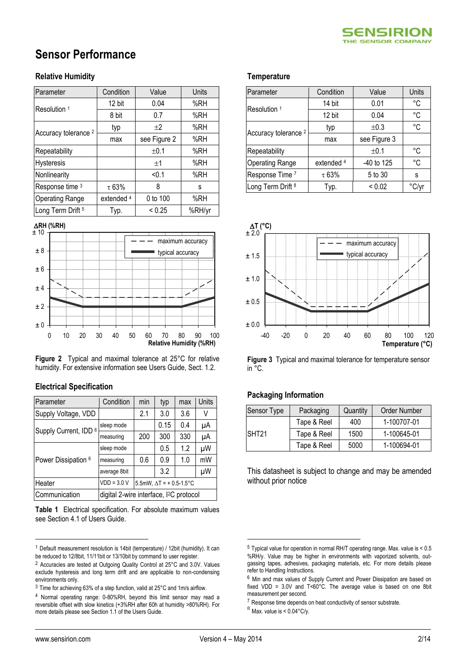# **Sensor Performance**

### **Relative Humidity**

| Parameter                       | Condition  | Value        | Units  |
|---------------------------------|------------|--------------|--------|
| Resolution 1                    | 12 bit     | 0.04         | %RH    |
|                                 | 8 bit      | 0.7          | %RH    |
| Accuracy tolerance <sup>2</sup> | typ        | ±2           | %RH    |
|                                 | max        | see Figure 2 | %RH    |
| Repeatability                   |            | ±0.1         | %RH    |
| Hysteresis                      |            | ±1           | %RH    |
| Nonlinearity                    |            | < 0.1        | %RH    |
| Response time 3                 | $\tau$ 63% | 8            | S      |
| <b>Operating Range</b>          | extended 4 | 0 to 100     | %RH    |
| Long Term Drift <sup>5</sup>    | Typ.       | < 0.25       | %RH/yr |





**Figure 2** Typical and maximal tolerance at 25°C for relative humidity. For extensive information see Users Guide, Sect. 1.2.

### **Electrical Specification**

| Parameter             | Condition                                           | min                             | typ  | max | Units |
|-----------------------|-----------------------------------------------------|---------------------------------|------|-----|-------|
| Supply Voltage, VDD   |                                                     | 2.1                             | 3.0  | 3.6 | V     |
| Supply Current, IDD 6 | sleep mode                                          |                                 | 0.15 | 0.4 | μA    |
|                       | measuring                                           | 200                             | 300  | 330 | μA    |
|                       | sleep mode                                          |                                 | 0.5  | 1.2 | μW    |
| Power Dissipation 6   | measuring                                           | 0.6                             | 0.9  | 1.0 | mW    |
|                       | average 8bit                                        |                                 | 3.2  |     | μW    |
| Heater                | $VDD = 3.0 V$                                       | 5.5mW, $\Delta T$ = + 0.5-1.5°C |      |     |       |
| Communication         | digital 2-wire interface, I <sup>2</sup> C protocol |                                 |      |     |       |

<span id="page-1-0"></span>**Table 1** Electrical specification. For absolute maximum values see Section 4.1 of Users Guide.

#### **Temperature<sup>567</sup>**

| Parameter                       | Condition             | Value        | Units |
|---------------------------------|-----------------------|--------------|-------|
| Resolution <sup>1</sup>         | 14 bit                | 0.01         | °C    |
|                                 | 12 bit                | 0.04         | °C    |
| Accuracy tolerance <sup>2</sup> | typ                   | ±0.3         | °C    |
|                                 | max                   | see Figure 3 |       |
| Repeatability                   |                       | ±0.1         | °C    |
| <b>Operating Range</b>          | extended <sup>4</sup> | $-40$ to 125 | °C    |
| Response Time 7                 | $\tau$ 63%            | 5 to 30      | S     |
| Long Term Drift 8               | Typ.                  | ${}_{0.02}$  | °C/vr |



**Figure 3** Typical and maximal tolerance for temperature sensor  $in \degree C$ .

### **Packaging Information**

| <b>Sensor Type</b> | Packaging   | Quantity | <b>Order Number</b> |
|--------------------|-------------|----------|---------------------|
|                    | Tape & Reel | 400      | 1-100707-01         |
| SHT <sub>21</sub>  | Tape & Reel | 1500     | 1-100645-01         |
|                    | Tape & Reel | 5000     | 1-100694-01         |

This datasheet is subject to change and may be amended without prior notice

 $\overline{a}$ 

<u>.</u>

<sup>1</sup> Default measurement resolution is 14bit (temperature) / 12bit (humidity). It can be reduced to 12/8bit, 11/11bit or 13/10bit by command to user register.

<sup>2</sup> Accuracies are tested at Outgoing Quality Control at 25°C and 3.0V. Values exclude hysteresis and long term drift and are applicable to non-condensing environments only.

 $3$  Time for achieving 63% of a step function, valid at 25 $^{\circ}$ C and 1m/s airflow.

<sup>4</sup> Normal operating range: 0-80%RH, beyond this limit sensor may read a reversible offset with slow kinetics (+3%RH after 60h at humidity >80%RH). For more details please see Section 1.1 of the Users Guide.

<sup>5</sup> Typical value for operation in normal RH/T operating range. Max. value is < 0.5 %RH/y. Value may be higher in environments with vaporized solvents, outgassing tapes, adhesives, packaging materials, etc. For more details please refer to Handling Instructions.

<sup>6</sup> Min and max values of Supply Current and Power Dissipation are based on fixed VDD = 3.0V and T<60°C. The average value is based on one 8bit measurement per second.

<sup>&</sup>lt;sup>7</sup> Response time depends on heat conductivity of sensor substrate.

 $8$  Max. value is <  $0.04$ °C/y.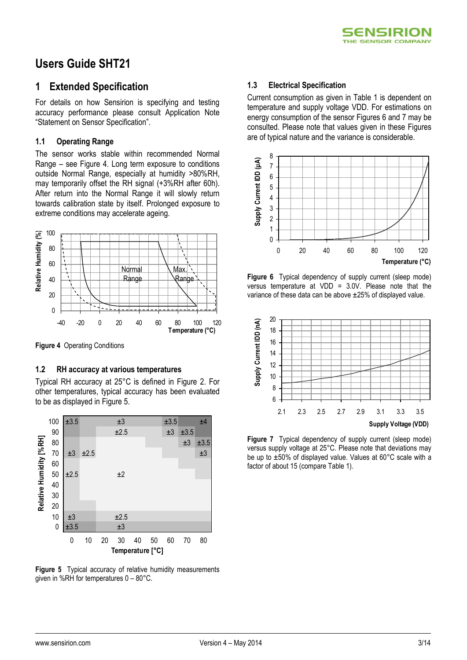

## **Users Guide SHT21**

### **1 Extended Specification**

For details on how Sensirion is specifying and testing accuracy performance please consult Application Note "Statement on Sensor Specification".

### **1.1 Operating Range**

The sensor works stable within recommended Normal Range – see Figure 4. Long term exposure to conditions outside Normal Range, especially at humidity >80%RH, may temporarily offset the RH signal (+3%RH after 60h). After return into the Normal Range it will slowly return towards calibration state by itself. Prolonged exposure to extreme conditions may accelerate ageing.



**Figure 4** Operating Conditions

### **1.2 RH accuracy at various temperatures**

Typical RH accuracy at 25°C is defined in Figure 2. For other temperatures, typical accuracy has been evaluated to be as displayed in [Figure 5.](#page-2-0)



<span id="page-2-0"></span>**Figure 5** Typical accuracy of relative humidity measurements given in %RH for temperatures 0 – 80°C.

### **1.3 Electrical Specification**

Current consumption as given in Table 1 is dependent on temperature and supply voltage VDD. For estimations on energy consumption of the sensor Figures 6 and 7 may be consulted. Please note that values given in these Figures are of typical nature and the variance is considerable.



**Figure 6** Typical dependency of supply current (sleep mode) versus temperature at VDD = 3.0V. Please note that the variance of these data can be above ±25% of displayed value.



**Figure 7** Typical dependency of supply current (sleep mode) versus supply voltage at 25°C. Please note that deviations may be up to ±50% of displayed value. Values at 60°C scale with a factor of about 15 (compare Table 1).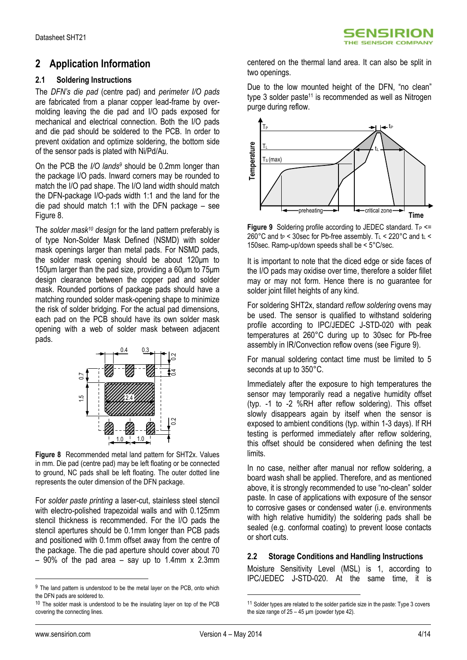### **2 Application Information**

### **2.1 Soldering Instructions**

The *DFN's die pad* (centre pad) and *perimeter I/O pads* are fabricated from a planar copper lead-frame by overmolding leaving the die pad and I/O pads exposed for mechanical and electrical connection. Both the I/O pads and die pad should be soldered to the PCB. In order to prevent oxidation and optimize soldering, the bottom side of the sensor pads is plated with Ni/Pd/Au.

On the PCB the *I/O lands<sup>9</sup>* should be 0.2mm longer than the package I/O pads. Inward corners may be rounded to match the I/O pad shape. The I/O land width should match the DFN-package I/O-pads width 1:1 and the land for the die pad should match 1:1 with the DFN package – see [Figure 8.](#page-3-0)

The *solder mask<sup>10</sup> design* for the land pattern preferably is of type Non-Solder Mask Defined (NSMD) with solder mask openings larger than metal pads. For NSMD pads, the solder mask opening should be about 120μm to 150μm larger than the pad size, providing a 60μm to 75μm design clearance between the copper pad and solder mask. Rounded portions of package pads should have a matching rounded solder mask-opening shape to minimize the risk of solder bridging. For the actual pad dimensions, each pad on the PCB should have its own solder mask opening with a web of solder mask between adjacent pads.



<span id="page-3-0"></span>**Figure 8** Recommended metal land pattern for SHT2x. Values in mm. Die pad (centre pad) may be left floating or be connected to ground, NC pads shall be left floating. The outer dotted line represents the outer dimension of the DFN package.

For *solder paste printing* a laser-cut, stainless steel stencil with electro-polished trapezoidal walls and with 0.125mm stencil thickness is recommended. For the I/O pads the stencil apertures should be 0.1mm longer than PCB pads and positioned with 0.1mm offset away from the centre of the package. The die pad aperture should cover about 70  $-90\%$  of the pad area  $-$  say up to 1.4mm x 2.3mm centered on the thermal land area. It can also be split in two openings.

Due to the low mounted height of the DFN, "no clean" type 3 solder paste<sup>11</sup> is recommended as well as Nitrogen purge during reflow.



<span id="page-3-1"></span>**Figure 9** Soldering profile according to JEDEC standard.  $T_P \leq T$ 260°C and  $t_P$  < 30sec for Pb-free assembly. T<sub>L</sub> < 220°C and  $t_L$  < 150sec. Ramp-up/down speeds shall be < 5°C/sec.

It is important to note that the diced edge or side faces of the I/O pads may oxidise over time, therefore a solder fillet may or may not form. Hence there is no guarantee for solder joint fillet heights of any kind.

For soldering SHT2x, standard *reflow soldering* ovens may be used. The sensor is qualified to withstand soldering profile according to IPC/JEDEC J-STD-020 with peak temperatures at 260°C during up to 30sec for Pb-free assembly in IR/Convection reflow ovens (see [Figure 9\)](#page-3-1).

For manual soldering contact time must be limited to 5 seconds at up to 350°C.

Immediately after the exposure to high temperatures the sensor may temporarily read a negative humidity offset (typ. -1 to -2 %RH after reflow soldering). This offset slowly disappears again by itself when the sensor is exposed to ambient conditions (typ. within 1-3 days). If RH testing is performed immediately after reflow soldering, this offset should be considered when defining the test limits.

In no case, neither after manual nor reflow soldering, a board wash shall be applied. Therefore, and as mentioned above, it is strongly recommended to use "no-clean" solder paste. In case of applications with exposure of the sensor to corrosive gases or condensed water (i.e. environments with high relative humidity) the soldering pads shall be sealed (e.g. conformal coating) to prevent loose contacts or short cuts.

### **2.2 Storage Conditions and Handling Instructions**

Moisture Sensitivity Level (MSL) is 1, according to IPC/JEDEC J-STD-020. At the same time, it is

 $\overline{a}$ 

<u>.</u>

<sup>&</sup>lt;sup>9</sup> The land pattern is understood to be the metal layer on the PCB, onto which the DFN pads are soldered to.

 $10$  The solder mask is understood to be the insulating layer on top of the PCB covering the connecting lines.

<sup>&</sup>lt;sup>11</sup> Solder types are related to the solder particle size in the paste: Type 3 covers the size range of  $25 - 45$  µm (powder type 42).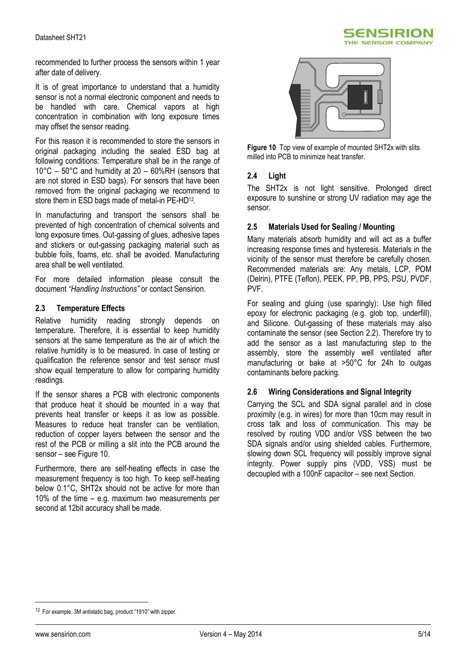

recommended to further process the sensors within 1 year after date of delivery.

It is of great importance to understand that a humidity sensor is not a normal electronic component and needs to be handled with care. Chemical vapors at high concentration in combination with long exposure times may offset the sensor reading.

For this reason it is recommended to store the sensors in original packaging including the sealed ESD bag at following conditions: Temperature shall be in the range of 10°C – 50°C and humidity at 20 – 60%RH (sensors that are not stored in ESD bags). For sensors that have been removed from the original packaging we recommend to store them in ESD bags made of metal-in PE-HD<sup>12</sup>.

In manufacturing and transport the sensors shall be prevented of high concentration of chemical solvents and long exposure times. Out-gassing of glues, adhesive tapes and stickers or out-gassing packaging material such as bubble foils, foams, etc. shall be avoided. Manufacturing area shall be well ventilated.

For more detailed information please consult the document *"Handling Instructions"* or contact Sensirion.

### **2.3 Temperature Effects**

Relative humidity reading strongly depends on temperature. Therefore, it is essential to keep humidity sensors at the same temperature as the air of which the relative humidity is to be measured. In case of testing or qualification the reference sensor and test sensor must show equal temperature to allow for comparing humidity readings.

If the sensor shares a PCB with electronic components that produce heat it should be mounted in a way that prevents heat transfer or keeps it as low as possible. Measures to reduce heat transfer can be ventilation, reduction of copper layers between the sensor and the rest of the PCB or milling a slit into the PCB around the sensor – see [Figure 10.](#page-4-0)

Furthermore, there are self-heating effects in case the measurement frequency is too high. To keep self-heating below 0.1°C, SHT2x should not be active for more than 10% of the time – e.g. maximum two measurements per second at 12bit accuracy shall be made.



<span id="page-4-0"></span>**Figure 10** Top view of example of mounted SHT2x with slits milled into PCB to minimize heat transfer.

### **2.4 Light**

The SHT2x is not light sensitive. Prolonged direct exposure to sunshine or strong UV radiation may age the sensor.

#### **2.5 Materials Used for Sealing / Mounting**

Many materials absorb humidity and will act as a buffer increasing response times and hysteresis. Materials in the vicinity of the sensor must therefore be carefully chosen. Recommended materials are: Any metals, LCP, POM (Delrin), PTFE (Teflon), PEEK, PP, PB, PPS, PSU, PVDF, PVF.

For sealing and gluing (use sparingly): Use high filled epoxy for electronic packaging (e.g. glob top, underfill), and Silicone. Out-gassing of these materials may also contaminate the sensor (see Section 2.2). Therefore try to add the sensor as a last manufacturing step to the assembly, store the assembly well ventilated after manufacturing or bake at >50°C for 24h to outgas contaminants before packing.

### **2.6 Wiring Considerations and Signal Integrity**

Carrying the SCL and SDA signal parallel and in close proximity (e.g. in wires) for more than 10cm may result in cross talk and loss of communication. This may be resolved by routing VDD and/or VSS between the two SDA signals and/or using shielded cables. Furthermore, slowing down SCL frequency will possibly improve signal integrity. Power supply pins (VDD, VSS) must be decoupled with a 100nF capacitor – see next Section.

 $\overline{a}$ 

<sup>12</sup> For example, 3M antistatic bag, product "1910" with zipper.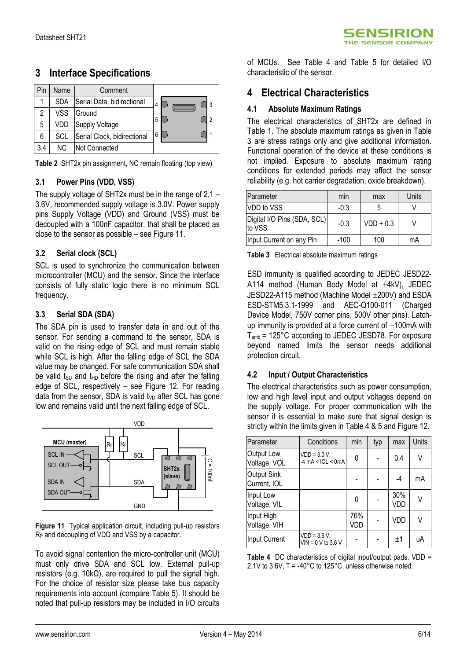| Pin | Name       | Comment                     |   |
|-----|------------|-----------------------------|---|
|     | <b>SDA</b> | Serial Data, bidirectional  | 4 |
| 2   | VSS        | Ground                      | ാ |
| 5   | VDD        | <b>Supply Voltage</b>       | 5 |
| 6   | SCL        | Serial Clock, bidirectional | 6 |
| 3,4 | NC.        | Not Connected               |   |

**3 Interface Specifications**

<span id="page-5-0"></span>**Table 2** SHT2x pin assignment, NC remain floating (top view)

### **3.1 Power Pins (VDD, VSS)**

The supply voltage of SHT2x must be in the range of 2.1 – 3.6V, recommended supply voltage is 3.0V. Power supply pins Supply Voltage (VDD) and Ground (VSS) must be decoupled with a 100nF capacitor, that shall be placed as close to the sensor as possible – se[e Figure 11.](#page-5-1)

### **3.2 Serial clock (SCL)**

SCL is used to synchronize the communication between microcontroller (MCU) and the sensor. Since the interface consists of fully static logic there is no minimum SCL frequency.

### **3.3 Serial SDA (SDA)**

The SDA pin is used to transfer data in and out of the sensor. For sending a command to the sensor, SDA is valid on the rising edge of SCL and must remain stable while SCL is high. After the falling edge of SCL the SDA value may be changed. For safe communication SDA shall be valid tsu and t<sub>HD</sub> before the rising and after the falling edge of SCL, respectively – see [Figure 12.](#page-6-0) For reading data from the sensor, SDA is valid  $t_{VD}$  after SCL has gone low and remains valid until the next falling edge of SCL.



<span id="page-5-1"></span>**Figure 11** Typical application circuit, including pull-up resistors R<sub>P</sub> and decoupling of VDD and VSS by a capacitor.

To avoid signal contention the micro-controller unit (MCU) must only drive SDA and SCL low. External pull-up resistors (e.g. 10kΩ), are required to pull the signal high. For the choice of resistor size please take bus capacity requirements into account (compare Table 5). It should be noted that pull-up resistors may be included in I/O circuits of MCUs. See [Table 4](#page-5-2) and [Table 5](#page-6-1) for detailed I/O characteristic of the sensor.

### **4 Electrical Characteristics**

### **4.1 Absolute Maximum Ratings**

The electrical characteristics of SHT2x are defined in [Table 1.](#page-1-0) The absolute maximum ratings as given in [Table](#page-5-3)  [3](#page-5-3) are stress ratings only and give additional information. Functional operation of the device at these conditions is not implied. Exposure to absolute maximum rating conditions for extended periods may affect the sensor reliability (e.g. hot carrier degradation, oxide breakdown).

| Parameter                             | min    | max         | Units |
|---------------------------------------|--------|-------------|-------|
| VDD to VSS                            | $-0.3$ |             |       |
| Digital I/O Pins (SDA, SCL)<br>to VSS | $-0.3$ | $VDD + 0.3$ |       |
| Input Current on any Pin              | $-100$ | 100         | mA    |

<span id="page-5-3"></span>**Table 3** Electrical absolute maximum ratings

ESD immunity is qualified according to JEDEC JESD22- A114 method (Human Body Model at  $\pm$ 4kV), JEDEC  $JESD22-A115$  method (Machine Model  $\pm$ 200V) and ESDA ESD-STM5.3.1-1999 and AEC-Q100-011 (Charged Device Model, 750V corner pins, 500V other pins). Latchup immunity is provided at a force current of  $\pm$ 100mA with Tamb = 125°C according to JEDEC JESD78. For exposure beyond named limits the sensor needs additional protection circuit.

### **4.2 Input / Output Characteristics**

The electrical characteristics such as power consumption, low and high level input and output voltages depend on the supply voltage. For proper communication with the sensor it is essential to make sure that signal design is strictly within the limits given i[n Table 4](#page-5-2) & 5 and [Figure 12.](#page-6-0)

| Parameter                   | Conditions                             | min        | typ | max        | Units |
|-----------------------------|----------------------------------------|------------|-----|------------|-------|
| Output Low<br>Voltage, VOL  | $VDD = 3.0 V,$<br>$-4$ mA < IOL < 0mA  | 0          |     | 0.4        | V     |
| Output Sink<br>Current, IOL |                                        |            |     | $-4$       | mA    |
| Input Low<br>Voltage, VIL   |                                        | 0          |     | 30%<br>VDD | V     |
| Input High<br>Voltage, VIH  |                                        | 70%<br>VDD |     | VDD        | V     |
| Input Current               | $VDD = 3.6 V,$<br>$VIN = 0 V to 3.6 V$ |            |     | ±1         | uA    |

<span id="page-5-2"></span>**Table 4** DC characteristics of digital input/output pads. VDD = 2.1V to 3.6V, T = -40°C to 125°C, unless otherwise noted.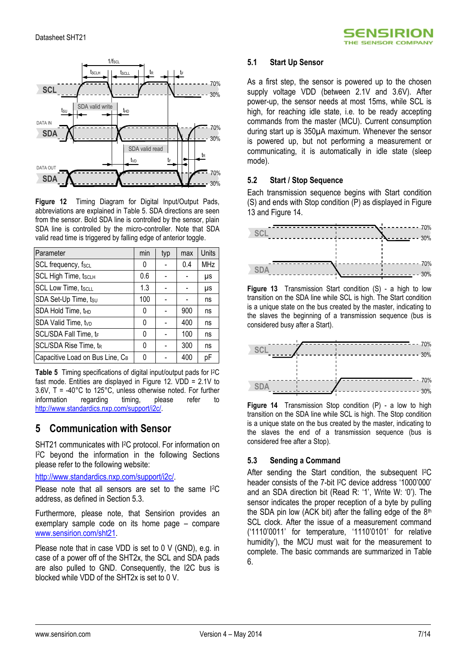

<span id="page-6-0"></span>**Figure 12** Timing Diagram for Digital Input/Output Pads, abbreviations are explained in [Table 5.](#page-6-1) SDA directions are seen from the sensor. Bold SDA line is controlled by the sensor, plain SDA line is controlled by the micro-controller. Note that SDA valid read time is triggered by falling edge of anterior toggle.

| Parameter                       | min | typ | max | Units      |
|---------------------------------|-----|-----|-----|------------|
| SCL frequency, fscL             | 0   |     | 0.4 | <b>MHz</b> |
| <b>SCL High Time, tscLH</b>     | 0.6 |     |     | μs         |
| <b>SCL Low Time, tscLL</b>      | 1.3 |     |     | μs         |
| SDA Set-Up Time, tsu            | 100 |     |     | ns         |
| SDA Hold Time, t <sub>HD</sub>  | 0   |     | 900 | ns         |
| SDA Valid Time, tvp             | 0   |     | 400 | ns         |
| SCL/SDA Fall Time, tr           | 0   |     | 100 | ns         |
| SCL/SDA Rise Time, tR           | 0   |     | 300 | ns         |
| Capacitive Load on Bus Line, CB | N   |     | 400 | рF         |

<span id="page-6-1"></span>**Table 5** Timing specifications of digital input/output pads for I2C fast mode. Entities are displayed in [Figure 12.](#page-6-0) VDD = 2.1V to  $3.6V$ , T = -40°C to 125°C, unless otherwise noted. For further information regarding timing. please refer to information regarding timing, please refer to [http://www.standardics.nxp.com/support/i2c/.](http://www.standardics.nxp.com/support/i2c/) 

### **5 Communication with Sensor**

SHT21 communicates with I <sup>2</sup>C protocol. For information on I <sup>2</sup>C beyond the information in the following Sections please refer to the following website:

[http://www.standardics.nxp.com/support/i2c/.](http://www.standardics.nxp.com/support/i2c/)

Please note that all sensors are set to the same I2C address, as defined in Section 5.3.

Furthermore, please note, that Sensirion provides an exemplary sample code on its home page – compare [www.sensirion.com/sht21.](http://www.sensirion.com/sht21)

Please note that in case VDD is set to 0 V (GND), e.g. in case of a power off of the SHT2x, the SCL and SDA pads are also pulled to GND. Consequently, the I2C bus is blocked while VDD of the SHT2x is set to 0 V.

### **5.1 Start Up Sensor**

As a first step, the sensor is powered up to the chosen supply voltage VDD (between 2.1V and 3.6V). After power-up, the sensor needs at most 15ms, while SCL is high, for reaching idle state, i.e. to be ready accepting commands from the master (MCU). Current consumption during start up is 350µA maximum. Whenever the sensor is powered up, but not performing a measurement or communicating, it is automatically in idle state (sleep mode).

**SENSIRION** HE SENSOR COMPANY

### **5.2 Start / Stop Sequence**

Each transmission sequence begins with Start condition (S) and ends with Stop condition (P) as displayed i[n Figure](#page-6-2)  [13](#page-6-2) and [Figure 14.](#page-6-3)



<span id="page-6-2"></span>**Figure 13** Transmission Start condition (S) - a high to low transition on the SDA line while SCL is high. The Start condition is a unique state on the bus created by the master, indicating to the slaves the beginning of a transmission sequence (bus is considered busy after a Start).



<span id="page-6-3"></span>**Figure 14** Transmission Stop condition (P) - a low to high transition on the SDA line while SCL is high. The Stop condition is a unique state on the bus created by the master, indicating to the slaves the end of a transmission sequence (bus is considered free after a Stop).

### **5.3 Sending a Command**

After sending the Start condition, the subsequent <sup>[2</sup>C header consists of the 7-bit I<sup>2</sup>C device address '1000'000' and an SDA direction bit (Read R: '1', Write W: '0'). The sensor indicates the proper reception of a byte by pulling the SDA pin low (ACK bit) after the falling edge of the  $8<sup>th</sup>$ SCL clock. After the issue of a measurement command ('1110'0011' for temperature, '1110'0101' for relative humidity'), the MCU must wait for the measurement to complete. The basic commands are summarized in [Table](#page-7-0)  [6.](#page-7-0)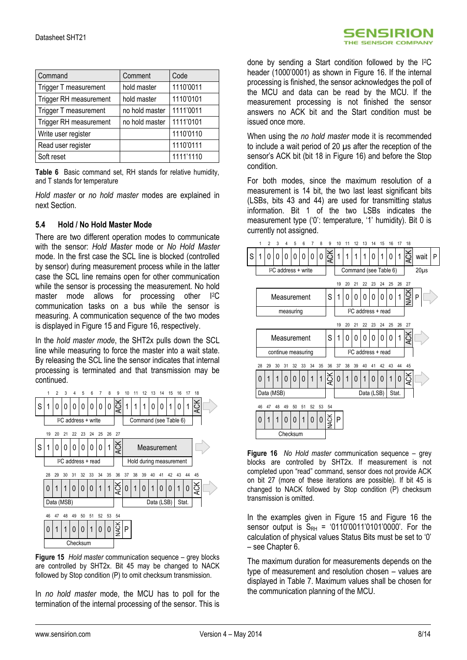| Command                | Comment        | Code      |
|------------------------|----------------|-----------|
| Trigger T measurement  | hold master    | 1110'0011 |
| Trigger RH measurement | hold master    | 1110'0101 |
| Trigger T measurement  | no hold master | 1111'0011 |
| Trigger RH measurement | no hold master | 1111'0101 |
| Write user register    |                | 1110'0110 |
| Read user register     |                | 1110'0111 |
| Soft reset             |                | 1111'1110 |

<span id="page-7-0"></span>**Table 6** Basic command set, RH stands for relative humidity, and T stands for temperature

*Hold master* or *no hold master* modes are explained in next Section.

### **5.4 Hold / No Hold Master Mode**

There are two different operation modes to communicate with the sensor: *Hold Master* mode or *No Hold Master* mode. In the first case the SCL line is blocked (controlled by sensor) during measurement process while in the latter case the SCL line remains open for other communication while the sensor is processing the measurement. No hold master mode allows for processing other I2C communication tasks on a bus while the sensor is measuring. A communication sequence of the two modes is displayed in [Figure 15](#page-7-1) an[d Figure 16,](#page-7-2) respectively.

In the *hold master mode*, the SHT2x pulls down the SCL line while measuring to force the master into a wait state. By releasing the SCL line the sensor indicates that internal processing is terminated and that transmission may be continued.



<span id="page-7-1"></span>**Figure 15** *Hold master* communication sequence – grey blocks are controlled by SHT2x. Bit 45 may be changed to NACK followed by Stop condition (P) to omit checksum transmission.

In *no hold master* mode, the MCU has to poll for the termination of the internal processing of the sensor. This is

done by sending a Start condition followed by the I2C header (1000'0001) as shown in [Figure 16.](#page-7-2) If the internal processing is finished, the sensor acknowledges the poll of the MCU and data can be read by the MCU. If the measurement processing is not finished the sensor answers no ACK bit and the Start condition must be issued once more.

When using the *no hold master* mode it is recommended to include a wait period of 20 µs after the reception of the sensor's ACK bit (bit 18 in [Figure 16\)](#page-7-2) and before the Stop condition.

For both modes, since the maximum resolution of a measurement is 14 bit, the two last least significant bits (LSBs, bits 43 and 44) are used for transmitting status information. Bit 1 of the two LSBs indicates the measurement type ('0': temperature, '1' humidity). Bit 0 is currently not assigned.



<span id="page-7-2"></span>**Figure 16** *No Hold master* communication sequence – grey blocks are controlled by SHT2x. If measurement is not completed upon "read" command, sensor does not provide ACK on bit 27 (more of these iterations are possible). If bit 45 is changed to NACK followed by Stop condition (P) checksum transmission is omitted.

In the examples given in [Figure 15](#page-7-1) and Figure 16 the sensor output is  $S_{RH} = '0110'0011'0101'0000'$ . For the calculation of physical values Status Bits must be set to '0' – see Chapter 6.

The maximum duration for measurements depends on the type of measurement and resolution chosen – values are displayed in [Table 7.](#page-8-0) Maximum values shall be chosen for the communication planning of the MCU.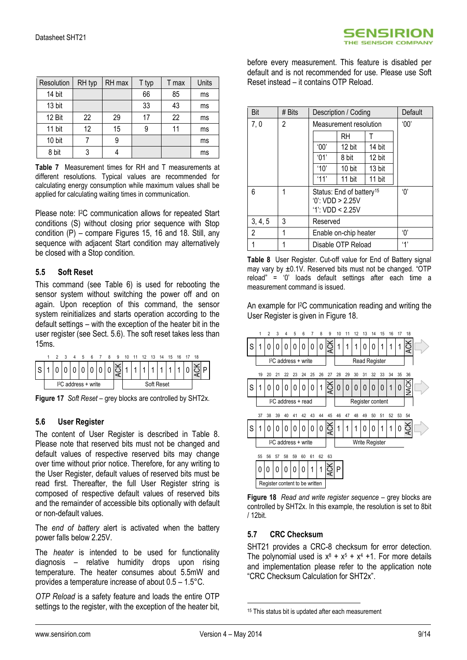| Resolution | RH typ | RH max | T typ | T max | Units |
|------------|--------|--------|-------|-------|-------|
| 14 bit     |        |        | 66    | 85    | ms    |
| 13 bit     |        |        | 33    | 43    | ms    |
| 12 Bit     | 22     | 29     | 17    | 22    | ms    |
| 11 bit     | 12     | 15     |       | 11    | ms    |
| 10 bit     |        | 9      |       |       | ms    |
| 8 bit      |        |        |       |       | ms    |

<span id="page-8-0"></span>**Table 7** Measurement times for RH and T measurements at different resolutions. Typical values are recommended for calculating energy consumption while maximum values shall be applied for calculating waiting times in communication.

Please note: I<sup>2</sup>C communication allows for repeated Start conditions (S) without closing prior sequence with Stop condition (P) – compare Figures 15, 16 and 18. Still, any sequence with adjacent Start condition may alternatively be closed with a Stop condition.

### **5.5 Soft Reset**

This command (see [Table 6\)](#page-7-0) is used for rebooting the sensor system without switching the power off and on again. Upon reception of this command, the sensor system reinitializes and starts operation according to the default settings – with the exception of the heater bit in the user register (see Sect. [5.6\)](#page-8-1). The soft reset takes less than 15ms.



**Figure 17** *Soft Reset* – grey blocks are controlled by SHT2x.

### <span id="page-8-1"></span>**5.6 User Register**

The content of User Register is described in [Table 8.](#page-8-2) Please note that reserved bits must not be changed and default values of respective reserved bits may change over time without prior notice. Therefore, for any writing to the User Register, default values of reserved bits must be read first. Thereafter, the full User Register string is composed of respective default values of reserved bits and the remainder of accessible bits optionally with default or non-default values.

The *end of battery* alert is activated when the battery power falls below 2.25V.

The *heater* is intended to be used for functionality diagnosis – relative humidity drops upon rising temperature. The heater consumes about 5.5mW and provides a temperature increase of about 0.5 – 1.5°C.

*OTP Reload* is a safety feature and loads the entire OTP settings to the register, with the exception of the heater bit, before every measurement. This feature is disabled per default and is not recommended for use. Please use Soft Reset instead – it contains OTP Reload.

| Bit     | # Bits | Description / Coding  |                                                                              |        | Default |
|---------|--------|-----------------------|------------------------------------------------------------------------------|--------|---------|
| 7,0     | 2      |                       | Measurement resolution                                                       |        | 00'     |
|         |        |                       | RH                                                                           |        |         |
|         |        | $^{\circ}00'$         | 12 bit                                                                       | 14 bit |         |
|         |        | '01'                  | 8 bit                                                                        | 12 bit |         |
|         |        | '10'                  | 10 bit                                                                       | 13 bit |         |
|         |        | '11'                  | 11 bit                                                                       | 11 bit |         |
| 6       | 1      |                       | Status: End of battery <sup>15</sup><br>0: VDD > 2.25V<br>$'1$ : VDD < 2.25V |        |         |
| 3, 4, 5 | 3      | Reserved              |                                                                              |        |         |
| 2       | 1      | Enable on-chip heater |                                                                              |        | 'በ'     |
|         | 1      |                       | Disable OTP Reload                                                           |        | 4'      |

<span id="page-8-2"></span>**Table 8** User Register. Cut-off value for End of Battery signal may vary by ±0.1V. Reserved bits must not be changed. "OTP reload" = '0' loads default settings after each time a measurement command is issued.

An example for I2C communication reading and writing the User Register is given in [Figure 18.](#page-8-3)



<span id="page-8-3"></span>**Figure 18** *Read and write register sequence* – grey blocks are controlled by SHT2x. In this example, the resolution is set to 8bit / 12bit.

### **5.7 CRC Checksum**

SHT21 provides a CRC-8 checksum for error detection. The polynomial used is  $x^8 + x^5 + x^4 + 1$ . For more details and implementation please refer to the application note "CRC Checksum Calculation for SHT2x".

1

<sup>&</sup>lt;sup>15</sup> This status bit is updated after each measurement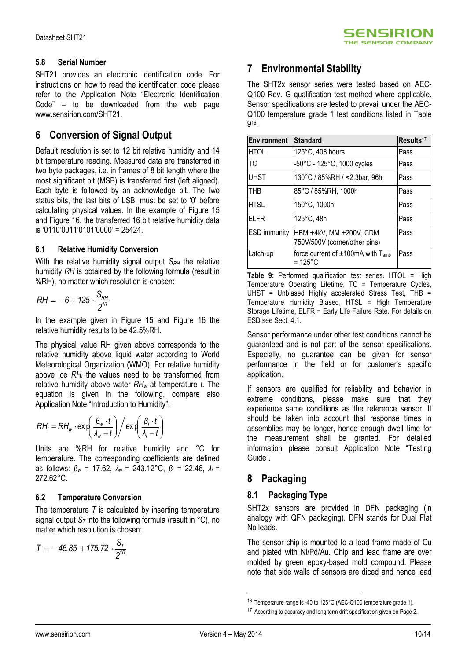### **5.8 Serial Number**

SHT21 provides an electronic identification code. For instructions on how to read the identification code please refer to the Application Note "Electronic Identification Code" – to be downloaded from the web page www.sensirion.com/SHT21.

### **6 Conversion of Signal Output**

Default resolution is set to 12 bit relative humidity and 14 bit temperature reading. Measured data are transferred in two byte packages, i.e. in frames of 8 bit length where the most significant bit (MSB) is transferred first (left aligned). Each byte is followed by an acknowledge bit. The two status bits, the last bits of LSB, must be set to '0' before calculating physical values. In the example of [Figure 15](#page-7-1) and [Figure 16,](#page-7-2) the transferred 16 bit relative humidity data is '0110'0011'0101'0000' = 25424.

### **6.1 Relative Humidity Conversion**

With the relative humidity signal output *S<sub>RH</sub>* the relative humidity *RH* is obtained by the following formula (result in %RH), no matter which resolution is chosen:

$$
RH = -6 + 125 \cdot \frac{S_{RH}}{2^{16}}
$$

In the example given in [Figure 15](#page-7-1) and Figure 16 the relative humidity results to be 42.5%RH.

The physical value RH given above corresponds to the relative humidity above liquid water according to World Meteorological Organization (WMO). For relative humidity above ice *RH<sup>i</sup>* the values need to be transformed from relative humidity above water *RH<sup>w</sup>* at temperature *t*. The equation is given in the following, compare also Application Note "Introduction to Humidity":

$$
RH_i = RH_w \cdot \exp\left(\frac{\beta_w \cdot t}{\lambda_w + t}\right) / \exp\left(\frac{\beta_i \cdot t}{\lambda_i + t}\right)
$$

Units are %RH for relative humidity and °C for temperature. The corresponding coefficients are defined as follows: *β<sup>w</sup>* = 17.62, *λ<sup>w</sup>* = 243.12°C, *β<sup>i</sup>* = 22.46, *λ<sup>i</sup>* = 272.62°C.

### **6.2 Temperature Conversion**

The temperature *T* is calculated by inserting temperature signal output *S<sup>T</sup>* into the following formula (result in °C), no matter which resolution is chosen:

$$
T = -46.85 + 175.72 \cdot \frac{S_T}{2^{16}}
$$

## **7 Environmental Stability**

The SHT2x sensor series were tested based on AEC-Q100 Rev. G qualification test method where applicable. Sensor specifications are tested to prevail under the AEC-Q100 temperature grade 1 test conditions listed in Table 9 16 .

| <b>Environment</b>  | <b>Standard</b>                                          | Results <sup>17</sup> |
|---------------------|----------------------------------------------------------|-----------------------|
| <b>HTOL</b>         | 125°C, 408 hours                                         | Pass                  |
| <b>TC</b>           | -50°C - 125°C, 1000 cycles                               | Pass                  |
| <b>UHST</b>         | 130°C / 85%RH / ≈2.3bar, 96h                             | Pass                  |
| THB                 | 85°C / 85%RH, 1000h                                      | Pass                  |
| <b>HTSL</b>         | 150°C, 1000h                                             | Pass                  |
| <b>ELFR</b>         | 125°C, 48h                                               | Pass                  |
| <b>ESD</b> immunity | HBM ±4kV, MM ±200V, CDM<br>750V/500V (corner/other pins) | Pass                  |
| Latch-up            | force current of $\pm 100$ mA with $T_{amb}$<br>= 125°C  | Pass                  |

**Table 9:** Performed qualification test series. HTOL = High Temperature Operating Lifetime, TC = Temperature Cycles, UHST = Unbiased Highly accelerated Stress Test,  $THB =$ Temperature Humidity Biased, HTSL = High Temperature Storage Lifetime, ELFR = Early Life Failure Rate. For details on ESD see Sect. 4.1.

Sensor performance under other test conditions cannot be guaranteed and is not part of the sensor specifications. Especially, no guarantee can be given for sensor performance in the field or for customer's specific application.

If sensors are qualified for reliability and behavior in extreme conditions, please make sure that they experience same conditions as the reference sensor. It should be taken into account that response times in assemblies may be longer, hence enough dwell time for the measurement shall be granted. For detailed information please consult Application Note "Testing Guide".

## **8 Packaging**

### **8.1 Packaging Type**

SHT2x sensors are provided in DFN packaging (in analogy with QFN packaging). DFN stands for Dual Flat No leads.

The sensor chip is mounted to a lead frame made of Cu and plated with Ni/Pd/Au. Chip and lead frame are over molded by green epoxy-based mold compound. Please note that side walls of sensors are diced and hence lead

1

<sup>16</sup> Temperature range is -40 to 125°C (AEC-Q100 temperature grade 1).

<sup>&</sup>lt;sup>17</sup> According to accuracy and long term drift specification given on Page 2.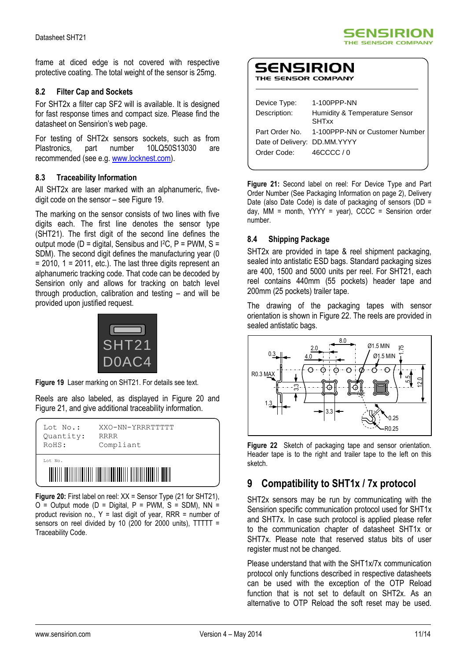frame at diced edge is not covered with respective protective coating. The total weight of the sensor is 25mg.

### **8.2 Filter Cap and Sockets**

For SHT2x a filter cap SF2 will is available. It is designed for fast response times and compact size. Please find the datasheet on Sensirion's web page.

For testing of SHT2x sensors sockets, such as from Plastronics, part number 10LQ50S13030 are recommended (see e.g. [www.locknest.com\)](http://www.locknest.com/).

### **8.3 Traceability Information**

All SHT2x are laser marked with an alphanumeric, fivedigit code on the sensor – see [Figure 19.](#page-10-0)

The marking on the sensor consists of two lines with five digits each. The first line denotes the sensor type (SHT21). The first digit of the second line defines the output mode ( $D =$  digital, Sensibus and I<sup>2</sup>C,  $P =$  PWM, S = SDM). The second digit defines the manufacturing year (0  $= 2010$ , 1 = 2011, etc.). The last three digits represent an alphanumeric tracking code. That code can be decoded by Sensirion only and allows for tracking on batch level through production, calibration and testing – and will be provided upon justified request.



**Figure 19** Laser marking on SHT21. For details see text.

<span id="page-10-0"></span>Reels are also labeled, as displayed in Figure 20 and Figure 21, and give additional traceability information.

| Lot No.:  | XXO-NN-YRRRTTTTT |  |  |  |
|-----------|------------------|--|--|--|
| Quantity: | <b>RRRR</b>      |  |  |  |
| RoHS:     | Compliant        |  |  |  |
| Lot No.   |                  |  |  |  |

**Figure 20:** First label on reel: XX = Sensor Type (21 for SHT21),  $O =$  Output mode (D = Digital, P = PWM, S = SDM), NN = product revision no.,  $Y =$  last digit of year, RRR = number of sensors on reel divided by 10 (200 for 2000 units), TTTTT = Traceability Code.

| ENSIRION         |  |
|------------------|--|
| E SENSOR COMPANY |  |

| Device Type:                 | 1-100PPP-NN                                   |
|------------------------------|-----------------------------------------------|
| Description:                 | Humidity & Temperature Sensor<br>SHTxx        |
|                              | Part Order No. 1-100PPP-NN or Customer Number |
| Date of Delivery: DD.MM.YYYY |                                               |
| Order Code:                  | 46CCCC / 0                                    |
|                              |                                               |

5ENSIRION THE SENSOR COMPANY

**Figure 21:** Second label on reel: For Device Type and Part Order Number (See Packaging Information on page 2), Delivery Date (also Date Code) is date of packaging of sensors (DD = day, MM = month,  $YYYY = year$ ),  $CCCC =$  Sensirion order number.

### **8.4 Shipping Package**

SHT2x are provided in tape & reel shipment packaging, sealed into antistatic ESD bags. Standard packaging sizes are 400, 1500 and 5000 units per reel. For SHT21, each reel contains 440mm (55 pockets) header tape and 200mm (25 pockets) trailer tape.

The drawing of the packaging tapes with sensor orientation is shown in Figure 22. The reels are provided in sealed antistatic bags.



**Figure 22** Sketch of packaging tape and sensor orientation. Header tape is to the right and trailer tape to the left on this sketch.

## **9 Compatibility to SHT1x / 7x protocol**

SHT2x sensors may be run by communicating with the Sensirion specific communication protocol used for SHT1x and SHT7x. In case such protocol is applied please refer to the communication chapter of datasheet SHT1x or SHT7x. Please note that reserved status bits of user register must not be changed.

Please understand that with the SHT1x/7x communication protocol only functions described in respective datasheets can be used with the exception of the OTP Reload function that is not set to default on SHT2x. As an alternative to OTP Reload the soft reset may be used.

S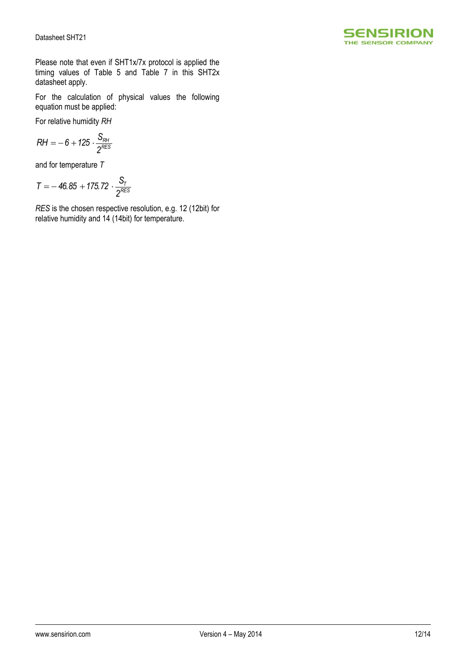

Please note that even if SHT1x/7x protocol is applied the timing values of [Table 5](#page-6-1) and Table 7 in this SHT2x datasheet apply.

For the calculation of physical values the following equation must be applied:

For relative humidity *RH*

$$
RH=-6+125\cdot \frac{S_{RH}}{2^{RES}}
$$

and for temperature *T*

$$
T = -46.85 + 175.72 \cdot \frac{S_T}{2^{RES}}
$$

*RES* is the chosen respective resolution, e.g. 12 (12bit) for relative humidity and 14 (14bit) for temperature.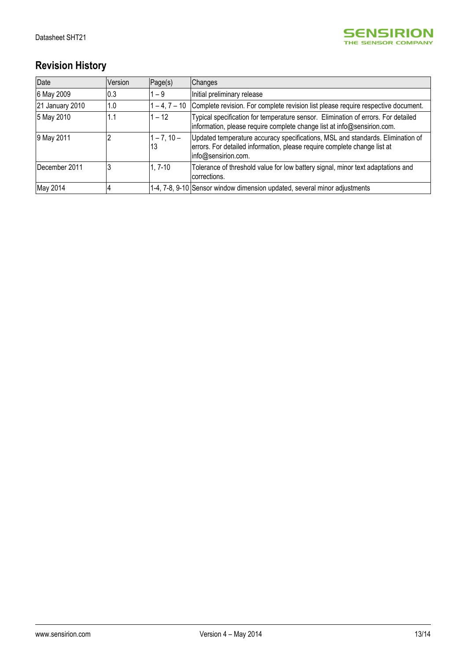

# **Revision History**

| Date            | Version | Page(s)             | Changes                                                                                                                                                                           |
|-----------------|---------|---------------------|-----------------------------------------------------------------------------------------------------------------------------------------------------------------------------------|
| 6 May 2009      | 0.3     | $1 - 9$             | Initial preliminary release                                                                                                                                                       |
| 21 January 2010 | 1.0     | $-4, 7 - 10$        | Complete revision. For complete revision list please require respective document.                                                                                                 |
| 5 May 2010      | 1.1     | $1 - 12$            | Typical specification for temperature sensor. Elimination of errors. For detailed<br>information, please require complete change list at info@sensirion.com.                      |
| 9 May 2011      |         | $1 - 7, 10 -$<br>13 | Updated temperature accuracy specifications, MSL and standards. Elimination of<br>errors. For detailed information, please require complete change list at<br>info@sensirion.com. |
| December 2011   |         | 1, 7-10             | Tolerance of threshold value for low battery signal, minor text adaptations and<br>corrections.                                                                                   |
| May 2014        |         |                     | 1-4, 7-8, 9-10 Sensor window dimension updated, several minor adjustments                                                                                                         |